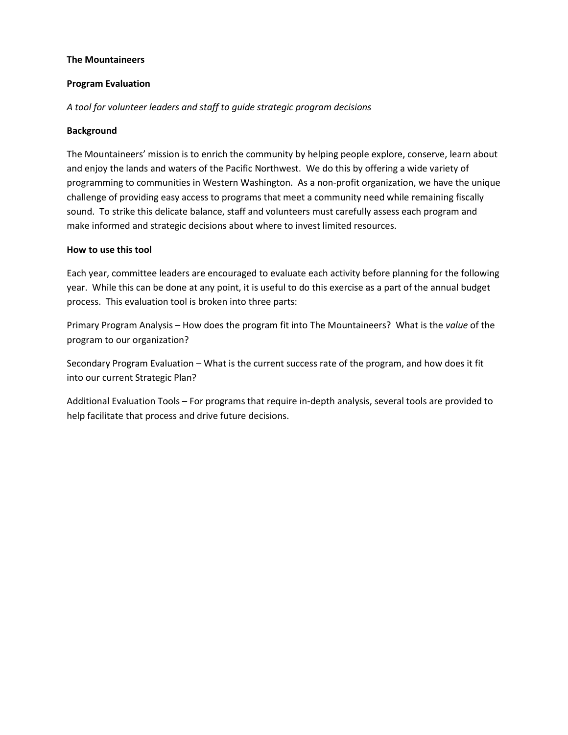#### **The Mountaineers**

### **Program Evaluation**

*A tool for volunteer leaders and staff to guide strategic program decisions*

### **Background**

The Mountaineers' mission is to enrich the community by helping people explore, conserve, learn about and enjoy the lands and waters of the Pacific Northwest. We do this by offering a wide variety of programming to communities in Western Washington. As a non-profit organization, we have the unique challenge of providing easy access to programs that meet a community need while remaining fiscally sound. To strike this delicate balance, staff and volunteers must carefully assess each program and make informed and strategic decisions about where to invest limited resources.

#### **How to use this tool**

Each year, committee leaders are encouraged to evaluate each activity before planning for the following year. While this can be done at any point, it is useful to do this exercise as a part of the annual budget process. This evaluation tool is broken into three parts:

Primary Program Analysis – How does the program fit into The Mountaineers? What is the *value* of the program to our organization?

Secondary Program Evaluation – What is the current success rate of the program, and how does it fit into our current Strategic Plan?

Additional Evaluation Tools – For programs that require in-depth analysis, several tools are provided to help facilitate that process and drive future decisions.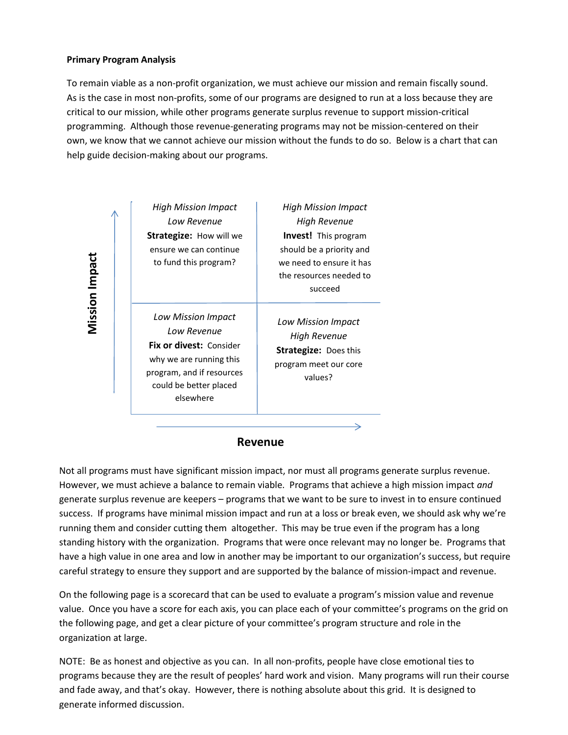#### **Primary Program Analysis**

**Mission Impact** 

To remain viable as a non-profit organization, we must achieve our mission and remain fiscally sound. As is the case in most non-profits, some of our programs are designed to run at a loss because they are critical to our mission, while other programs generate surplus revenue to support mission-critical programming. Although those revenue-generating programs may not be mission-centered on their own, we know that we cannot achieve our mission without the funds to do so. Below is a chart that can help guide decision-making about our programs.

| High Mission Impact<br>Low Revenue<br><b>Strategize:</b> How will we<br>ensure we can continue<br>to fund this program?                                            | High Mission Impact<br><b>High Revenue</b><br><b>Invest!</b> This program<br>should be a priority and<br>we need to ensure it has<br>the resources needed to<br>succeed |
|--------------------------------------------------------------------------------------------------------------------------------------------------------------------|-------------------------------------------------------------------------------------------------------------------------------------------------------------------------|
| Low Mission Impact<br>Low Revenue<br><b>Fix or divest: Consider</b><br>why we are running this<br>program, and if resources<br>could be better placed<br>elsewhere | Low Mission Impact<br>High Revenue<br><b>Strategize: Does this</b><br>program meet our core<br>values?                                                                  |

#### **Revenue**

**Repeated SI CONSTRANCE CONSTRANCE CONSTRANCE IN A SIGNATION ISSUED A SIGNAL PROPERTY CONSTRANCE IN A SIGNATION ISSUED A SIGNATION ISSUED A SIGNATION IS NOT FOR SIGNATION IS NOT FOR SIGNATION IS NOT FOR SIGNATION IS NOT FO** Not all programs must have significant mission impact, nor must all programs generate surplus revenue. However, we must achieve a balance to remain viable. Programs that achieve a high mission impact *and* generate surplus revenue are keepers – programs that we want to be sure to invest in to ensure continued success. If programs have minimal mission impact and run at a loss or break even, we should ask why we're running them and consider cutting them altogether. This may be true even if the program has a long standing history with the organization. Programs that were once relevant may no longer be. Programs that have a high value in one area and low in another may be important to our organization's success, but require careful strategy to ensure they support and are supported by the balance of mission-impact and revenue.

On the following page is a scorecard that can be used to evaluate a program's mission value and revenue value. Once you have a score for each axis, you can place each of your committee's programs on the grid on the following page, and get a clear picture of your committee's program structure and role in the organization at large.

NOTE: Be as honest and objective as you can. In all non-profits, people have close emotional ties to programs because they are the result of peoples' hard work and vision. Many programs will run their course and fade away, and that's okay. However, there is nothing absolute about this grid. It is designed to generate informed discussion.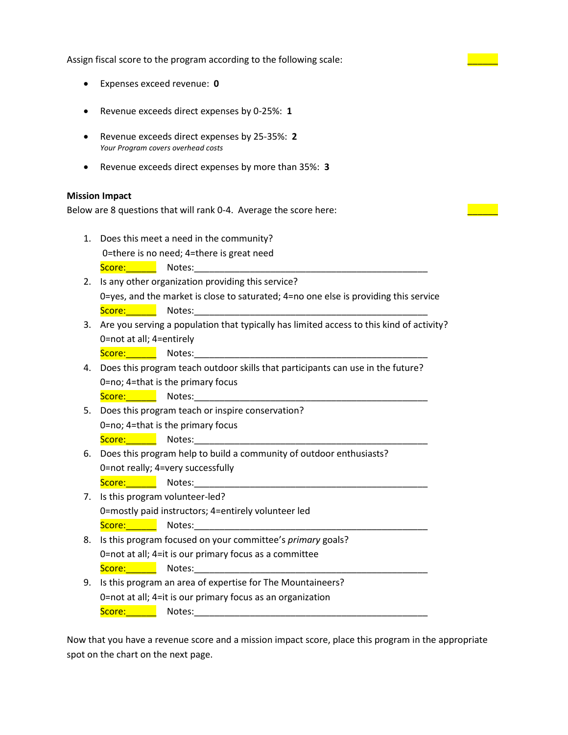Assign fiscal score to the program according to the following scale:

- Expenses exceed revenue: **0**
- Revenue exceeds direct expenses by 0-25%: **1**
- Revenue exceeds direct expenses by 25-35%: **2** *Your Program covers overhead costs*
- Revenue exceeds direct expenses by more than 35%: **3**

#### **Mission Impact**

Below are 8 questions that will rank 0-4. Average the score here:

- 1. Does this meet a need in the community? 0=there is no need; 4=there is great need Score:\_\_\_\_\_\_ Notes:\_\_\_\_\_\_\_\_\_\_\_\_\_\_\_\_\_\_\_\_\_\_\_\_\_\_\_\_\_\_\_\_\_\_\_\_\_\_\_\_\_\_\_\_\_\_
- 2. Is any other organization providing this service? 0=yes, and the market is close to saturated; 4=no one else is providing this service Score:\_\_\_\_\_\_ Notes:\_\_\_\_\_\_\_\_\_\_\_\_\_\_\_\_\_\_\_\_\_\_\_\_\_\_\_\_\_\_\_\_\_\_\_\_\_\_\_\_\_\_\_\_\_\_
- 3. Are you serving a population that typically has limited access to this kind of activity? 0=not at all; 4=entirely

Score: \_\_\_\_\_\_\_\_\_\_ Notes:

- 4. Does this program teach outdoor skills that participants can use in the future? 0=no; 4=that is the primary focus Score:\_\_\_\_\_\_ Notes:\_\_\_\_\_\_\_\_\_\_\_\_\_\_\_\_\_\_\_\_\_\_\_\_\_\_\_\_\_\_\_\_\_\_\_\_\_\_\_\_\_\_\_\_\_\_
- 5. Does this program teach or inspire conservation? 0=no; 4=that is the primary focus

Score:\_\_\_\_\_\_ Notes:\_\_\_\_\_\_\_\_\_\_\_\_\_\_\_\_\_\_\_\_\_\_\_\_\_\_\_\_\_\_\_\_\_\_\_\_\_\_\_\_\_\_\_\_\_\_

- 6. Does this program help to build a community of outdoor enthusiasts? 0=not really; 4=very successfully
	- Score: Notes:
- 7. Is this program volunteer-led? 0=mostly paid instructors; 4=entirely volunteer led Score:\_\_\_\_\_\_ Notes:\_\_\_\_\_\_\_\_\_\_\_\_\_\_\_\_\_\_\_\_\_\_\_\_\_\_\_\_\_\_\_\_\_\_\_\_\_\_\_\_\_\_\_\_\_\_
- 8. Is this program focused on your committee's *primary* goals? 0=not at all; 4=it is our primary focus as a committee Score:\_\_\_\_\_\_ Notes:\_\_\_\_\_\_\_\_\_\_\_\_\_\_\_\_\_\_\_\_\_\_\_\_\_\_\_\_\_\_\_\_\_\_\_\_\_\_\_\_\_\_\_\_\_\_
- 9. Is this program an area of expertise for The Mountaineers? 0=not at all; 4=it is our primary focus as an organization Score:\_\_\_\_\_\_ Notes:\_\_\_\_\_\_\_\_\_\_\_\_\_\_\_\_\_\_\_\_\_\_\_\_\_\_\_\_\_\_\_\_\_\_\_\_\_\_\_\_\_\_\_\_\_\_

Now that you have a revenue score and a mission impact score, place this program in the appropriate spot on the chart on the next page.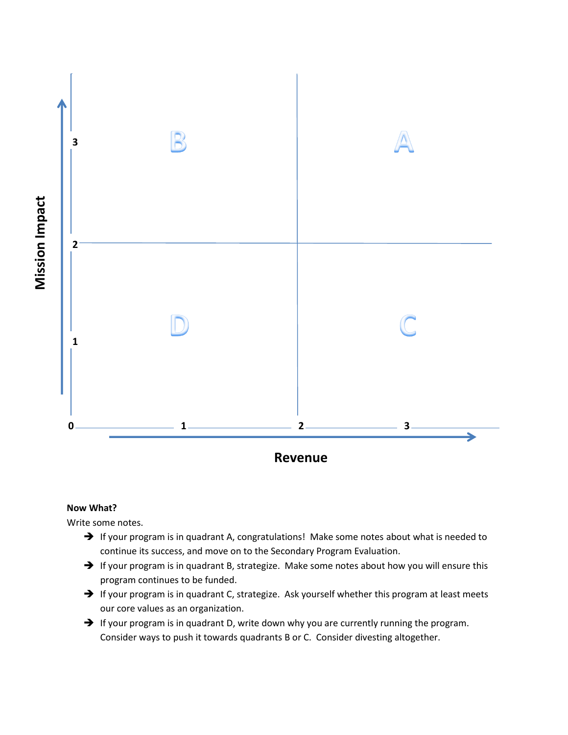

# **Now What?**

Write some notes.

- $\rightarrow$  If your program is in quadrant A, congratulations! Make some notes about what is needed to continue its success, and move on to the Secondary Program Evaluation.
- $\rightarrow$  If your program is in quadrant B, strategize. Make some notes about how you will ensure this program continues to be funded.
- $\rightarrow$  If your program is in quadrant C, strategize. Ask yourself whether this program at least meets our core values as an organization.
- $\rightarrow$  If your program is in quadrant D, write down why you are currently running the program. Consider ways to push it towards quadrants B or C. Consider divesting altogether.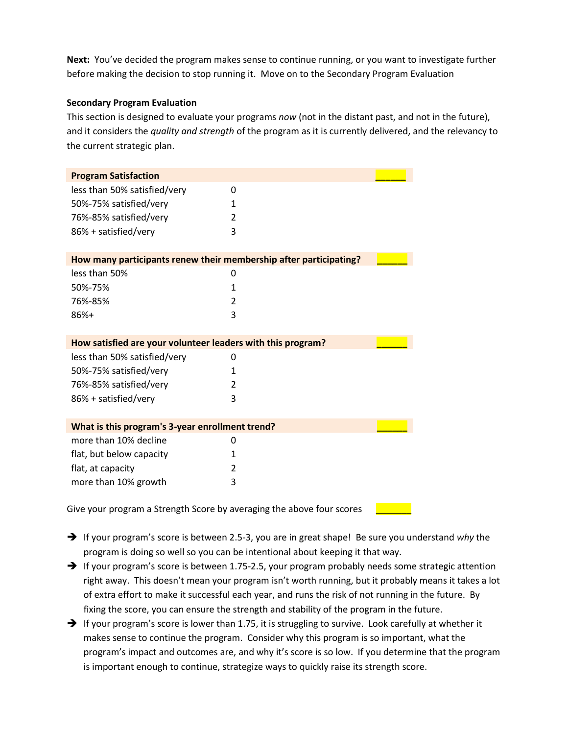**Next:** You've decided the program makes sense to continue running, or you want to investigate further before making the decision to stop running it. Move on to the Secondary Program Evaluation

## **Secondary Program Evaluation**

This section is designed to evaluate your programs *now* (not in the distant past, and not in the future), and it considers the *quality and strength* of the program as it is currently delivered, and the relevancy to the current strategic plan.

| How many participants renew their membership after participating? |
|-------------------------------------------------------------------|
|                                                                   |
|                                                                   |
|                                                                   |
|                                                                   |
|                                                                   |
|                                                                   |
|                                                                   |
|                                                                   |
|                                                                   |
|                                                                   |
|                                                                   |
|                                                                   |
| How satisfied are your volunteer leaders with this program?       |
|                                                                   |
|                                                                   |
|                                                                   |
|                                                                   |
|                                                                   |
| What is this program's 3-year enrollment trend?                   |
|                                                                   |
|                                                                   |
|                                                                   |
|                                                                   |
|                                                                   |

- If your program's score is between 2.5-3, you are in great shape! Be sure you understand *why* the program is doing so well so you can be intentional about keeping it that way.
- → If your program's score is between 1.75-2.5, your program probably needs some strategic attention right away. This doesn't mean your program isn't worth running, but it probably means it takes a lot of extra effort to make it successful each year, and runs the risk of not running in the future. By fixing the score, you can ensure the strength and stability of the program in the future.
- $\rightarrow$  If your program's score is lower than 1.75, it is struggling to survive. Look carefully at whether it makes sense to continue the program. Consider why this program is so important, what the program's impact and outcomes are, and why it's score is so low. If you determine that the program is important enough to continue, strategize ways to quickly raise its strength score.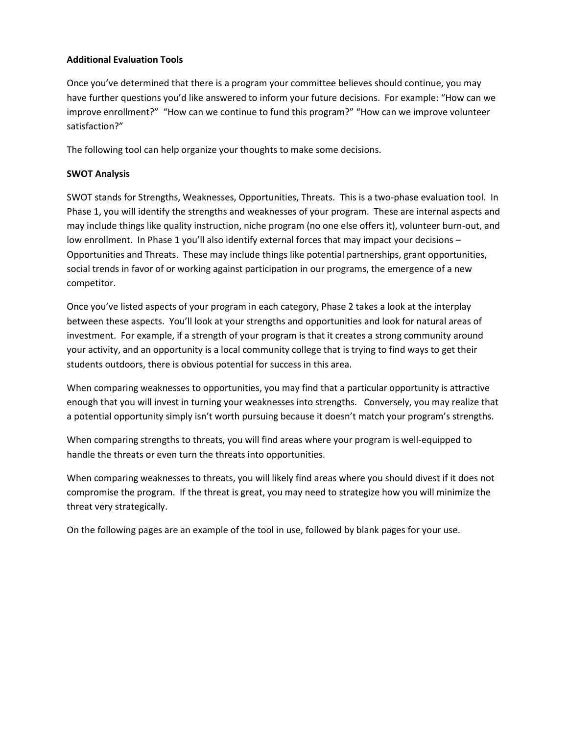## **Additional Evaluation Tools**

Once you've determined that there is a program your committee believes should continue, you may have further questions you'd like answered to inform your future decisions. For example: "How can we improve enrollment?" "How can we continue to fund this program?" "How can we improve volunteer satisfaction?"

The following tool can help organize your thoughts to make some decisions.

## **SWOT Analysis**

SWOT stands for Strengths, Weaknesses, Opportunities, Threats. This is a two-phase evaluation tool. In Phase 1, you will identify the strengths and weaknesses of your program. These are internal aspects and may include things like quality instruction, niche program (no one else offers it), volunteer burn-out, and low enrollment. In Phase 1 you'll also identify external forces that may impact your decisions -Opportunities and Threats. These may include things like potential partnerships, grant opportunities, social trends in favor of or working against participation in our programs, the emergence of a new competitor.

Once you've listed aspects of your program in each category, Phase 2 takes a look at the interplay between these aspects. You'll look at your strengths and opportunities and look for natural areas of investment. For example, if a strength of your program is that it creates a strong community around your activity, and an opportunity is a local community college that is trying to find ways to get their students outdoors, there is obvious potential for success in this area.

When comparing weaknesses to opportunities, you may find that a particular opportunity is attractive enough that you will invest in turning your weaknesses into strengths. Conversely, you may realize that a potential opportunity simply isn't worth pursuing because it doesn't match your program's strengths.

When comparing strengths to threats, you will find areas where your program is well-equipped to handle the threats or even turn the threats into opportunities.

When comparing weaknesses to threats, you will likely find areas where you should divest if it does not compromise the program. If the threat is great, you may need to strategize how you will minimize the threat very strategically.

On the following pages are an example of the tool in use, followed by blank pages for your use.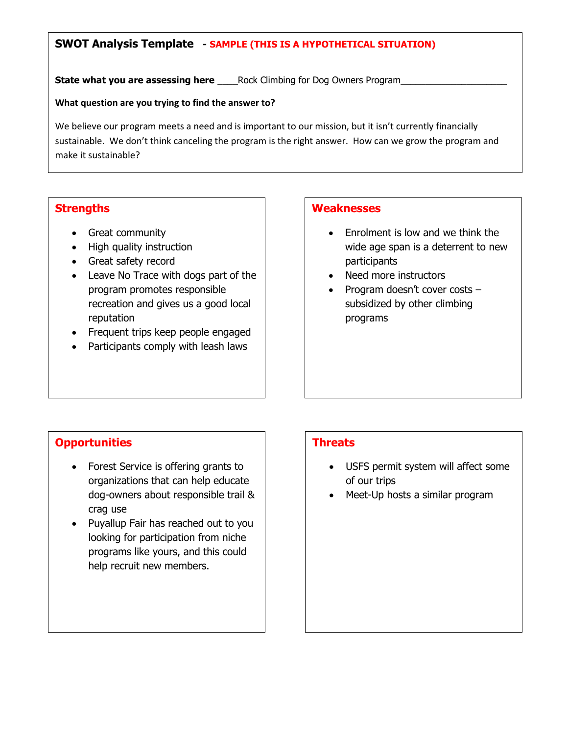# **SWOT Analysis Template - SAMPLE (THIS IS A HYPOTHETICAL SITUATION)**

**State what you are assessing here Rock Climbing for Dog Owners Program** 

### **What question are you trying to find the answer to?**

We believe our program meets a need and is important to our mission, but it isn't currently financially sustainable. We don't think canceling the program is the right answer. How can we grow the program and make it sustainable?

# **Strengths**

- Great community
- High quality instruction
- Great safety record
- Leave No Trace with dogs part of the program promotes responsible recreation and gives us a good local reputation
- Frequent trips keep people engaged
- Participants comply with leash laws

# **Weaknesses**

- Enrolment is low and we think the wide age span is a deterrent to new participants
- Need more instructors
- Program doesn't cover costs  $$ subsidized by other climbing programs

# **Opportunities**

- Forest Service is offering grants to organizations that can help educate dog-owners about responsible trail & crag use
- Puyallup Fair has reached out to you looking for participation from niche programs like yours, and this could help recruit new members.

# **Threats**

- USFS permit system will affect some of our trips
- Meet-Up hosts a similar program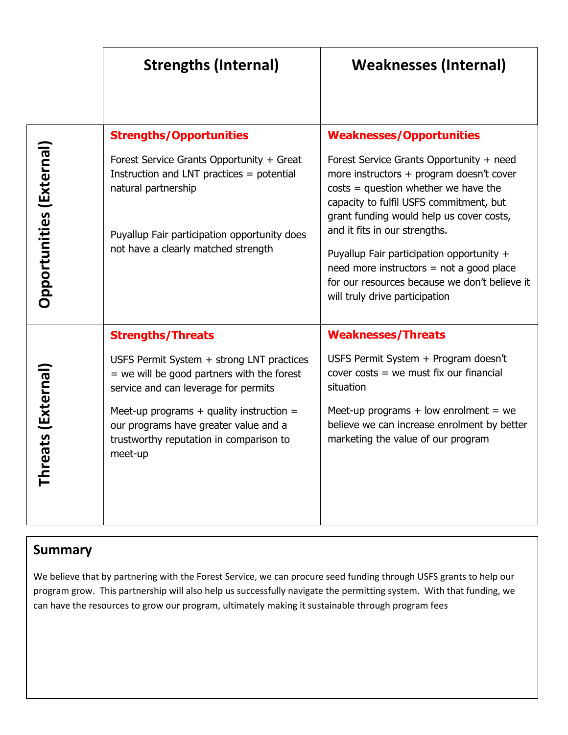|                              | <b>Strengths (Internal)</b>                                                                                                                                                                                                                                                                                  | <b>Weaknesses (Internal)</b>                                                                                                                                                                                                                                                                                                                                                                                                                                            |
|------------------------------|--------------------------------------------------------------------------------------------------------------------------------------------------------------------------------------------------------------------------------------------------------------------------------------------------------------|-------------------------------------------------------------------------------------------------------------------------------------------------------------------------------------------------------------------------------------------------------------------------------------------------------------------------------------------------------------------------------------------------------------------------------------------------------------------------|
| Opportunities (External)     | <b>Strengths/Opportunities</b><br>Forest Service Grants Opportunity + Great<br>Instruction and LNT practices $=$ potential<br>natural partnership<br>Puyallup Fair participation opportunity does<br>not have a clearly matched strength                                                                     | <b>Weaknesses/Opportunities</b><br>Forest Service Grants Opportunity + need<br>more instructors + program doesn't cover<br>$costs = question whether we have the$<br>capacity to fulfil USFS commitment, but<br>grant funding would help us cover costs,<br>and it fits in our strengths.<br>Puyallup Fair participation opportunity +<br>$need$ more instructors = not a good place<br>for our resources because we don't believe it<br>will truly drive participation |
| ats (External)<br>A)<br>Thre | <b>Strengths/Threats</b><br>USFS Permit System + strong LNT practices<br>$=$ we will be good partners with the forest<br>service and can leverage for permits<br>Meet-up programs $+$ quality instruction $=$<br>our programs have greater value and a<br>trustworthy reputation in comparison to<br>meet-up | <b>Weaknesses/Threats</b><br>USFS Permit System + Program doesn't<br>cover $costs = we must fix our financial$<br>situation<br>Meet-up programs $+$ low enrolment $=$ we<br>believe we can increase enrolment by better<br>marketing the value of our program                                                                                                                                                                                                           |

# **Summary**

We believe that by partnering with the Forest Service, we can procure seed funding through USFS grants to help our program grow. This partnership will also help us successfully navigate the permitting system. With that funding, we can have the resources to grow our program, ultimately making it sustainable through program fees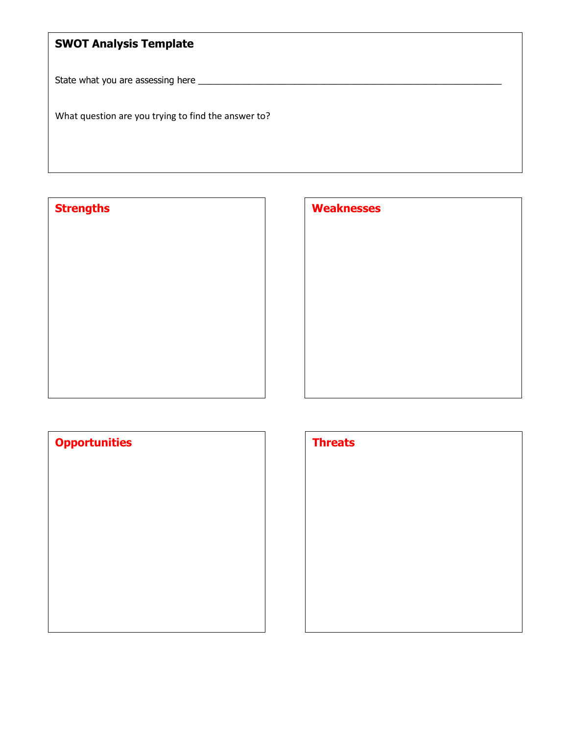# **SWOT Analysis Template**

State what you are assessing here \_\_\_\_\_\_\_\_\_\_\_\_\_\_\_\_\_\_\_\_\_\_\_\_\_\_\_\_\_\_\_\_\_\_\_\_\_\_\_\_\_\_\_\_\_\_\_\_\_\_\_\_\_\_\_\_\_\_\_\_

What question are you trying to find the answer to?

**Strengths** 

| <b>Weaknesses</b> |  |  |
|-------------------|--|--|
|                   |  |  |
|                   |  |  |
|                   |  |  |
|                   |  |  |
|                   |  |  |
|                   |  |  |
|                   |  |  |

| <b>Opportunities</b> | <b>Threats</b> |
|----------------------|----------------|
|                      |                |
|                      |                |
|                      |                |
|                      |                |
|                      |                |
|                      |                |
|                      |                |

| <b>Threats</b> |  |  |
|----------------|--|--|
|                |  |  |
|                |  |  |
|                |  |  |
|                |  |  |
|                |  |  |
|                |  |  |
|                |  |  |